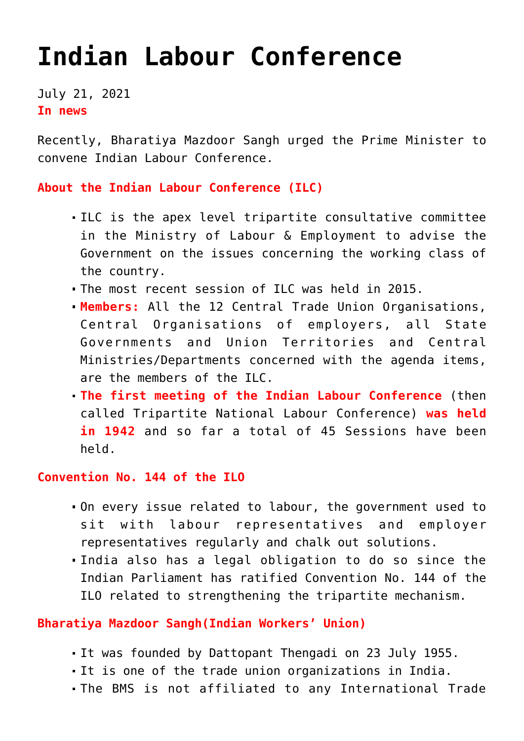## **[Indian Labour Conference](https://journalsofindia.com/indian-labour-conference/)**

July 21, 2021 **In news**

Recently, Bharatiya Mazdoor Sangh urged the Prime Minister to convene Indian Labour Conference.

**About the Indian Labour Conference (ILC)**

- ILC is the apex level tripartite consultative committee in the Ministry of Labour & Employment to advise the Government on the issues concerning the working class of the country.
- The most recent session of ILC was held in 2015.
- **Members:** All the 12 Central Trade Union Organisations, Central Organisations of employers, all State Governments and Union Territories and Central Ministries/Departments concerned with the agenda items, are the members of the ILC.
- **The first meeting of the Indian Labour Conference** (then called Tripartite National Labour Conference) **was held in 1942** and so far a total of 45 Sessions have been held.

**Convention No. 144 of the ILO** 

- On every issue related to labour, the government used to sit with labour representatives and employer representatives regularly and chalk out solutions.
- India also has a legal obligation to do so since the Indian Parliament has ratified Convention No. 144 of the ILO related to strengthening the tripartite mechanism.

## **Bharatiya Mazdoor Sangh(Indian Workers' Union)**

- It was founded by Dattopant Thengadi on 23 July 1955.
- It is one of the trade union organizations in India.
- The BMS is not affiliated to any International Trade